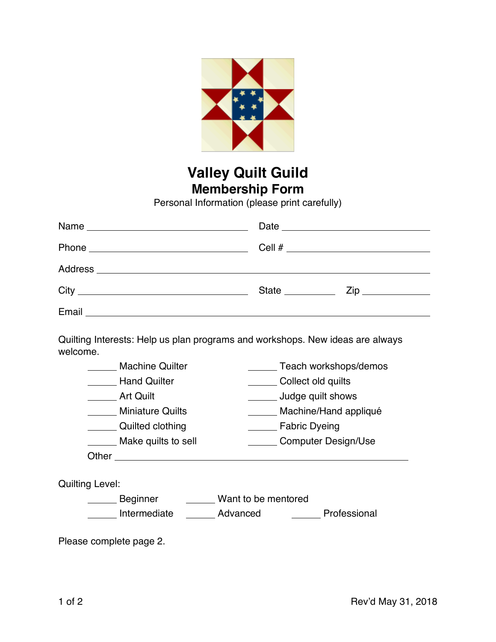

## **Valley Quilt Guild Membership Form**

Personal Information (please print carefully)

| State <u>Zip</u> Zip |
|----------------------|
|                      |

Quilting Interests: Help us plan programs and workshops. New ideas are always welcome.

| <b>Machine Quilter</b>  | Teach workshops/demos      |
|-------------------------|----------------------------|
| <b>Hand Quilter</b>     | Collect old quilts         |
| <b>Art Quilt</b>        | Judge quilt shows          |
| <b>Miniature Quilts</b> | Machine/Hand appliqué      |
| Quilted clothing        | <b>Fabric Dyeing</b>       |
| Make quilts to sell     | <b>Computer Design/Use</b> |
| Other                   |                            |
|                         |                            |

Quilting Level:

Beginner **Nant to be mentored** Intermediate \_\_\_\_\_\_\_ Advanced \_\_\_\_\_\_\_\_\_ Professional

Please complete page 2.